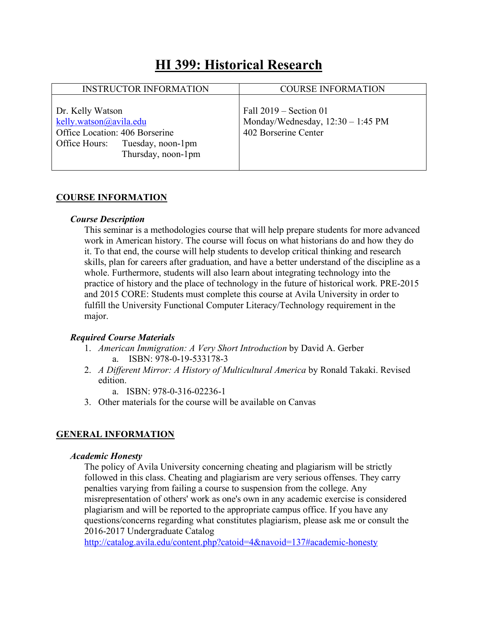## **HI 399: Historical Research**

| <b>INSTRUCTOR INFORMATION</b>                                                                                                         | <b>COURSE INFORMATION</b>                                                             |
|---------------------------------------------------------------------------------------------------------------------------------------|---------------------------------------------------------------------------------------|
| Dr. Kelly Watson<br>kelly.watson@avila.edu<br>Office Location: 406 Borserine<br>Office Hours: Tuesday, noon-1pm<br>Thursday, noon-1pm | Fall $2019$ – Section 01<br>Monday/Wednesday, 12:30 - 1:45 PM<br>402 Borserine Center |

#### **COURSE INFORMATION**

#### *Course Description*

This seminar is a methodologies course that will help prepare students for more advanced work in American history. The course will focus on what historians do and how they do it. To that end, the course will help students to develop critical thinking and research skills, plan for careers after graduation, and have a better understand of the discipline as a whole. Furthermore, students will also learn about integrating technology into the practice of history and the place of technology in the future of historical work. PRE-2015 and 2015 CORE: Students must complete this course at Avila University in order to fulfill the University Functional Computer Literacy/Technology requirement in the major.

#### *Required Course Materials*

- 1. *American Immigration: A Very Short Introduction* by David A. Gerber a. ISBN: 978-0-19-533178-3
- 2. *A Different Mirror: A History of Multicultural America* by Ronald Takaki. Revised edition.
	- a. ISBN: 978-0-316-02236-1
- 3. Other materials for the course will be available on Canvas

## **GENERAL INFORMATION**

#### *Academic Honesty*

The policy of Avila University concerning cheating and plagiarism will be strictly followed in this class. Cheating and plagiarism are very serious offenses. They carry penalties varying from failing a course to suspension from the college. Any misrepresentation of others' work as one's own in any academic exercise is considered plagiarism and will be reported to the appropriate campus office. If you have any questions/concerns regarding what constitutes plagiarism, please ask me or consult the 2016-2017 Undergraduate Catalog

http://catalog.avila.edu/content.php?catoid=4&navoid=137#academic-honesty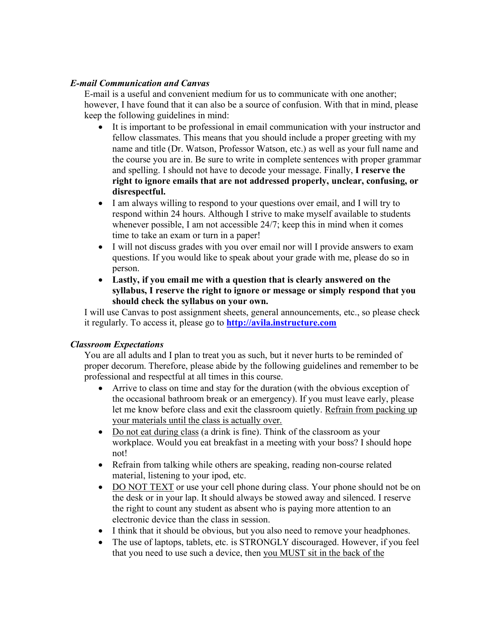## *E-mail Communication and Canvas*

E-mail is a useful and convenient medium for us to communicate with one another; however, I have found that it can also be a source of confusion. With that in mind, please keep the following guidelines in mind:

- It is important to be professional in email communication with your instructor and fellow classmates. This means that you should include a proper greeting with my name and title (Dr. Watson, Professor Watson, etc.) as well as your full name and the course you are in. Be sure to write in complete sentences with proper grammar and spelling. I should not have to decode your message. Finally, **I reserve the right to ignore emails that are not addressed properly, unclear, confusing, or disrespectful.**
- I am always willing to respond to your questions over email, and I will try to respond within 24 hours. Although I strive to make myself available to students whenever possible, I am not accessible 24/7; keep this in mind when it comes time to take an exam or turn in a paper!
- I will not discuss grades with you over email nor will I provide answers to exam questions. If you would like to speak about your grade with me, please do so in person.
- **Lastly, if you email me with a question that is clearly answered on the syllabus, I reserve the right to ignore or message or simply respond that you should check the syllabus on your own.**

I will use Canvas to post assignment sheets, general announcements, etc., so please check it regularly. To access it, please go to **http://avila.instructure.com**

## *Classroom Expectations*

You are all adults and I plan to treat you as such, but it never hurts to be reminded of proper decorum. Therefore, please abide by the following guidelines and remember to be professional and respectful at all times in this course.

- Arrive to class on time and stay for the duration (with the obvious exception of the occasional bathroom break or an emergency). If you must leave early, please let me know before class and exit the classroom quietly. Refrain from packing up your materials until the class is actually over.
- Do not eat during class (a drink is fine). Think of the classroom as your workplace. Would you eat breakfast in a meeting with your boss? I should hope not!
- Refrain from talking while others are speaking, reading non-course related material, listening to your ipod, etc.
- DO NOT TEXT or use your cell phone during class. Your phone should not be on the desk or in your lap. It should always be stowed away and silenced. I reserve the right to count any student as absent who is paying more attention to an electronic device than the class in session.
- I think that it should be obvious, but you also need to remove your headphones.
- The use of laptops, tablets, etc. is STRONGLY discouraged. However, if you feel that you need to use such a device, then you MUST sit in the back of the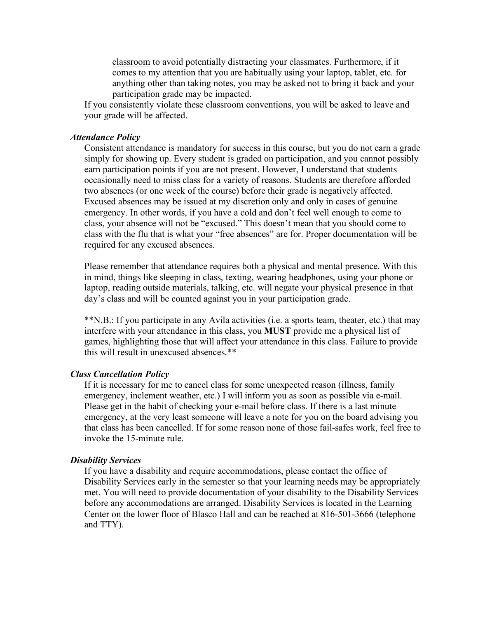classroom to avoid potentially distracting your classmates. Furthermore, if it comes to my attention that you are habitually using your laptop, tablet, etc. for anything other than taking notes, you may be asked not to bring it back and your participation grade may be impacted.

If you consistently violate these classroom conventions, you will be asked to leave and your grade will be affected.

#### *Attendance Policy*

Consistent attendance is mandatory for success in this course, but you do not earn a grade simply for showing up. Every student is graded on participation, and you cannot possibly earn participation points if you are not present. However, I understand that students occasionally need to miss class for a variety of reasons. Students are therefore afforded two absences (or one week of the course) before their grade is negatively affected. Excused absences may be issued at my discretion only and only in cases of genuine emergency. In other words, if you have a cold and don't feel well enough to come to class, your absence will not be "excused." This doesn't mean that you should come to class with the flu that is what your "free absences" are for. Proper documentation will be required for any excused absences.

Please remember that attendance requires both a physical and mental presence. With this in mind, things like sleeping in class, texting, wearing headphones, using your phone or laptop, reading outside materials, talking, etc. will negate your physical presence in that day's class and will be counted against you in your participation grade.

\*\*N.B.: If you participate in any Avila activities (i.e. a sports team, theater, etc.) that may interfere with your attendance in this class, you **MUST** provide me a physical list of games, highlighting those that will affect your attendance in this class. Failure to provide this will result in unexcused absences.\*\*

#### *Class Cancellation Policy*

If it is necessary for me to cancel class for some unexpected reason (illness, family emergency, inclement weather, etc.) I will inform you as soon as possible via e-mail. Please get in the habit of checking your e-mail before class. If there is a last minute emergency, at the very least someone will leave a note for you on the board advising you that class has been cancelled. If for some reason none of those fail-safes work, feel free to invoke the 15-minute rule.

#### *Disability Services*

If you have a disability and require accommodations, please contact the office of Disability Services early in the semester so that your learning needs may be appropriately met. You will need to provide documentation of your disability to the Disability Services before any accommodations are arranged. Disability Services is located in the Learning Center on the lower floor of Blasco Hall and can be reached at 816-501-3666 (telephone and TTY).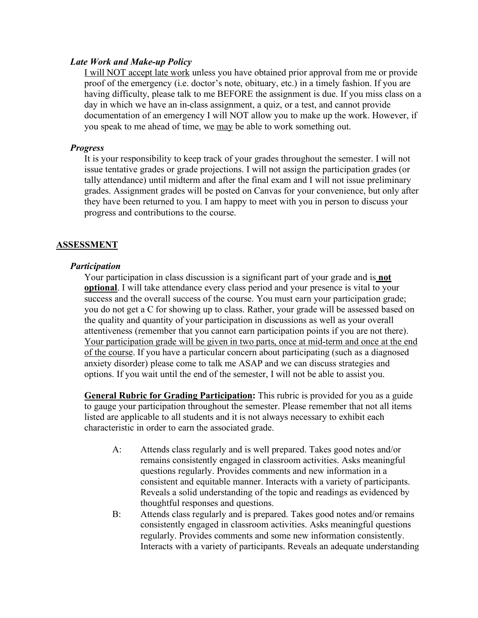#### *Late Work and Make-up Policy*

I will NOT accept late work unless you have obtained prior approval from me or provide proof of the emergency (i.e. doctor's note, obituary, etc.) in a timely fashion. If you are having difficulty, please talk to me BEFORE the assignment is due. If you miss class on a day in which we have an in-class assignment, a quiz, or a test, and cannot provide documentation of an emergency I will NOT allow you to make up the work. However, if you speak to me ahead of time, we may be able to work something out.

#### *Progress*

It is your responsibility to keep track of your grades throughout the semester. I will not issue tentative grades or grade projections. I will not assign the participation grades (or tally attendance) until midterm and after the final exam and I will not issue preliminary grades. Assignment grades will be posted on Canvas for your convenience, but only after they have been returned to you. I am happy to meet with you in person to discuss your progress and contributions to the course.

## **ASSESSMENT**

#### *Participation*

Your participation in class discussion is a significant part of your grade and is **not optional**. I will take attendance every class period and your presence is vital to your success and the overall success of the course. You must earn your participation grade; you do not get a C for showing up to class. Rather, your grade will be assessed based on the quality and quantity of your participation in discussions as well as your overall attentiveness (remember that you cannot earn participation points if you are not there). Your participation grade will be given in two parts, once at mid-term and once at the end of the course. If you have a particular concern about participating (such as a diagnosed anxiety disorder) please come to talk me ASAP and we can discuss strategies and options. If you wait until the end of the semester, I will not be able to assist you.

**General Rubric for Grading Participation:** This rubric is provided for you as a guide to gauge your participation throughout the semester. Please remember that not all items listed are applicable to all students and it is not always necessary to exhibit each characteristic in order to earn the associated grade.

- A: Attends class regularly and is well prepared. Takes good notes and/or remains consistently engaged in classroom activities. Asks meaningful questions regularly. Provides comments and new information in a consistent and equitable manner. Interacts with a variety of participants. Reveals a solid understanding of the topic and readings as evidenced by thoughtful responses and questions.
- B: Attends class regularly and is prepared. Takes good notes and/or remains consistently engaged in classroom activities. Asks meaningful questions regularly. Provides comments and some new information consistently. Interacts with a variety of participants. Reveals an adequate understanding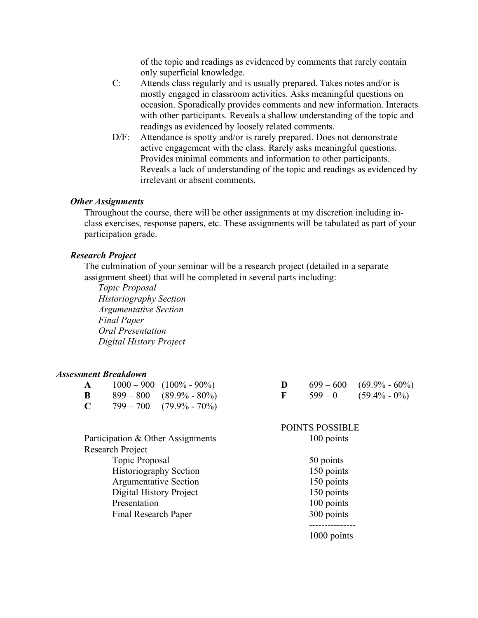of the topic and readings as evidenced by comments that rarely contain only superficial knowledge.

- C: Attends class regularly and is usually prepared. Takes notes and/or is mostly engaged in classroom activities. Asks meaningful questions on occasion. Sporadically provides comments and new information. Interacts with other participants. Reveals a shallow understanding of the topic and readings as evidenced by loosely related comments.
- D/F: Attendance is spotty and/or is rarely prepared. Does not demonstrate active engagement with the class. Rarely asks meaningful questions. Provides minimal comments and information to other participants. Reveals a lack of understanding of the topic and readings as evidenced by irrelevant or absent comments.

#### *Other Assignments*

Throughout the course, there will be other assignments at my discretion including inclass exercises, response papers, etc. These assignments will be tabulated as part of your participation grade.

#### *Research Project*

The culmination of your seminar will be a research project (detailed in a separate assignment sheet) that will be completed in several parts including:

*Topic Proposal Historiography Section Argumentative Section Final Paper Oral Presentation Digital History Project* 

#### *Assessment Breakdown*

| A |             | $1000 - 900$ $(100\% - 90\%)$ |
|---|-------------|-------------------------------|
| B | 899 — 800 — | $(89.9\% - 80\%)$             |
| C | $799 - 700$ | $(79.9\% - 70\%)$             |

| F | $599-0$ | $(59.4\% - 0\%)$ |
|---|---------|------------------|
|   |         |                  |

POINTS POSSIBLE

**D**  $699 - 600$   $(69.9\% - 60\%)$ 

| Participation & Other Assignments | 100 points  |
|-----------------------------------|-------------|
| <b>Research Project</b>           |             |
| Topic Proposal                    | 50 points   |
| <b>Historiography Section</b>     | 150 points  |
| <b>Argumentative Section</b>      | 150 points  |
| Digital History Project           | 150 points  |
| Presentation                      | 100 points  |
| Final Research Paper              | 300 points  |
|                                   |             |
|                                   | 1000 points |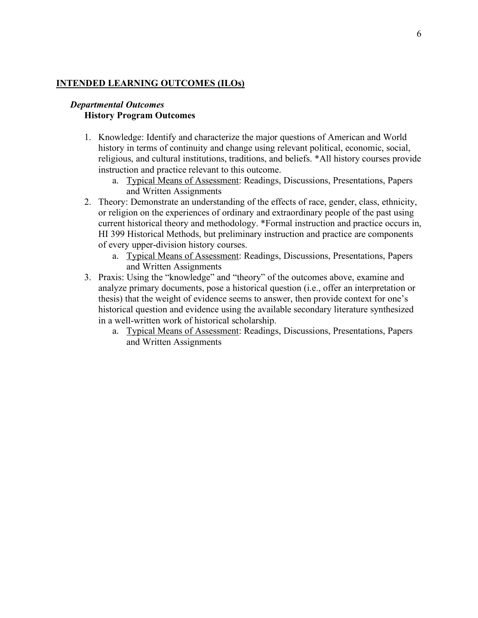## **INTENDED LEARNING OUTCOMES (ILOs)**

#### *Departmental Outcomes* **History Program Outcomes**

- 1. Knowledge: Identify and characterize the major questions of American and World history in terms of continuity and change using relevant political, economic, social, religious, and cultural institutions, traditions, and beliefs. \*All history courses provide instruction and practice relevant to this outcome.
	- a. Typical Means of Assessment: Readings, Discussions, Presentations, Papers and Written Assignments
- 2. Theory: Demonstrate an understanding of the effects of race, gender, class, ethnicity, or religion on the experiences of ordinary and extraordinary people of the past using current historical theory and methodology. \*Formal instruction and practice occurs in, HI 399 Historical Methods, but preliminary instruction and practice are components of every upper-division history courses.
	- a. Typical Means of Assessment: Readings, Discussions, Presentations, Papers and Written Assignments
- 3. Praxis: Using the "knowledge" and "theory" of the outcomes above, examine and analyze primary documents, pose a historical question (i.e., offer an interpretation or thesis) that the weight of evidence seems to answer, then provide context for one's historical question and evidence using the available secondary literature synthesized in a well-written work of historical scholarship.
	- a. Typical Means of Assessment: Readings, Discussions, Presentations, Papers and Written Assignments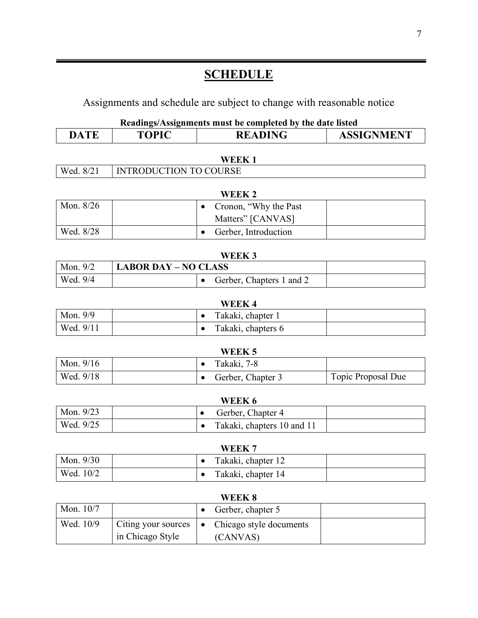# **SCHEDULE**

Assignments and schedule are subject to change with reasonable notice

| Readings/Assignments must be completed by the date listed |  |  |  |
|-----------------------------------------------------------|--|--|--|
|-----------------------------------------------------------|--|--|--|

|                                    |                               |                                                | Readings/Assignments must be completed by the date listed |
|------------------------------------|-------------------------------|------------------------------------------------|-----------------------------------------------------------|
| <b>DATE</b>                        | <b>TOPIC</b>                  | <b>READING</b>                                 | <b>ASSIGNMENT</b>                                         |
|                                    |                               | <b>WEEK1</b>                                   |                                                           |
| Wed. 8/21                          | <b>INTRODUCTION TO COURSE</b> |                                                |                                                           |
|                                    |                               |                                                |                                                           |
|                                    |                               | <b>WEEK2</b>                                   |                                                           |
| Mon. 8/26                          |                               | Cronon, "Why the Past"<br>$\bullet$            |                                                           |
|                                    |                               | Matters" [CANVAS]                              |                                                           |
| Wed. 8/28                          |                               | Gerber, Introduction<br>$\bullet$              |                                                           |
|                                    |                               |                                                |                                                           |
|                                    |                               | WEEK <sub>3</sub>                              |                                                           |
| Mon. 9/2                           | <b>LABOR DAY - NO CLASS</b>   |                                                |                                                           |
| Wed. 9/4                           |                               | Gerber, Chapters 1 and 2<br>$\bullet$          |                                                           |
|                                    |                               |                                                |                                                           |
|                                    |                               |                                                |                                                           |
|                                    |                               | <b>WEEK4</b><br>Takaki, chapter 1<br>$\bullet$ |                                                           |
| Wed. 9/11                          |                               | Takaki, chapters 6<br>$\bullet$                |                                                           |
|                                    |                               |                                                |                                                           |
|                                    |                               | WEEK <sub>5</sub>                              |                                                           |
| Mon. 9/9<br>Mon. 9/16<br>Wed. 9/18 |                               | Takaki, 7-8<br>$\bullet$<br>$\bullet$          |                                                           |
|                                    |                               | Gerber, Chapter 3                              | Topic Proposal Due                                        |
|                                    |                               | WEEK 6                                         |                                                           |
| Mon. 9/23                          |                               | Gerber, Chapter 4<br>$\bullet$                 |                                                           |

| Mon. 9/30 |  | .<br>Takaki, chapter 12 |  |
|-----------|--|-------------------------|--|
|           |  |                         |  |
| Wed. 10/2 |  | Takaki, chapter 14      |  |

| WEEK 8      |                                                               |  |                                     |  |
|-------------|---------------------------------------------------------------|--|-------------------------------------|--|
| Mon. $10/7$ |                                                               |  | Gerber, chapter 5                   |  |
| Wed. 10/9   | Citing your sources $\vert \bullet \vert$<br>in Chicago Style |  | Chicago style documents<br>(CANVAS) |  |